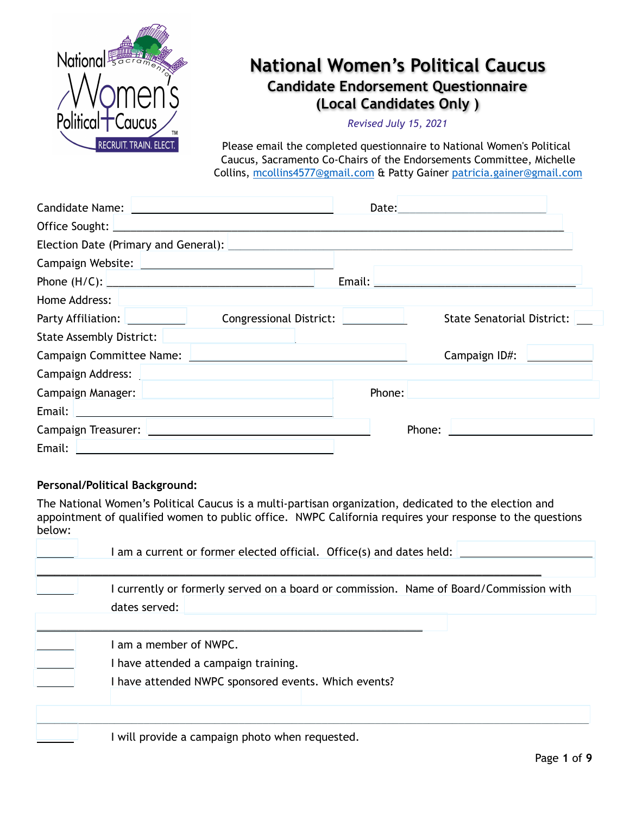

# **National Women's Political Caucus Candidate Endorsement Questionnaire (Local Candidates Only )**

*Revised July 15, 2021* 

Please email the completed questionnaire to National Women's Political Caucus, Sacramento Co-Chairs of the Endorsements Committee, Michelle Collins, [mcollins4577@gmail.com](mailto:mcollins4577@gmail.com) & Patty Gainer [patricia.gainer@gmail.com](mailto:patricia.gainer@gmail.com)

| Candidate Name: <u>Lace and Candidate Name:</u> Lace 2014                                                     |                                                                                                                |                                               |
|---------------------------------------------------------------------------------------------------------------|----------------------------------------------------------------------------------------------------------------|-----------------------------------------------|
|                                                                                                               |                                                                                                                |                                               |
|                                                                                                               | Election Date (Primary and General): 2008 2009 2010 2020 2021 2022 2023 2024 2022 2023 2024 2022 2023 2024 20  |                                               |
| Campaign Website: Names and Campaign Website:                                                                 |                                                                                                                |                                               |
|                                                                                                               |                                                                                                                |                                               |
| Home Address: 2008                                                                                            |                                                                                                                |                                               |
| <b>Party Affiliation:</b>                                                                                     | Congressional District: <u>[1988]</u>                                                                          | State Senatorial District:                    |
| State Assembly District: 2008 [2010]                                                                          |                                                                                                                |                                               |
|                                                                                                               | Campaign Committee Name: Law Campaign Committee Name: Law Campaign Committee Name: Law Campaign Committee Name | Campaign ID#:                                 |
|                                                                                                               |                                                                                                                |                                               |
| Campaign Manager: National Property of the Campaign Manager:                                                  |                                                                                                                | Phone: <u>_______________________________</u> |
|                                                                                                               |                                                                                                                |                                               |
| Campaign Treasurer: 2008 2010 2020 2021 2022 2023 2024 2022 2023 2024 2022 2023 2024 2022 2023 2024 2022 2023 |                                                                                                                | Phone:                                        |
| Email:                                                                                                        |                                                                                                                |                                               |

### **Personal/Political Background:**

The National Women's Political Caucus is a multi-partisan organization, dedicated to the election and appointment of qualified women to public office. NWPC California requires your response to the questions below:

| I am a current or former elected official. Office(s) and dates held:                                                   |
|------------------------------------------------------------------------------------------------------------------------|
| I currently or formerly served on a board or commission. Name of Board/Commission with<br>dates served:                |
| I am a member of NWPC.<br>I have attended a campaign training.<br>I have attended NWPC sponsored events. Which events? |
| I will provide a campaign photo when requested.                                                                        |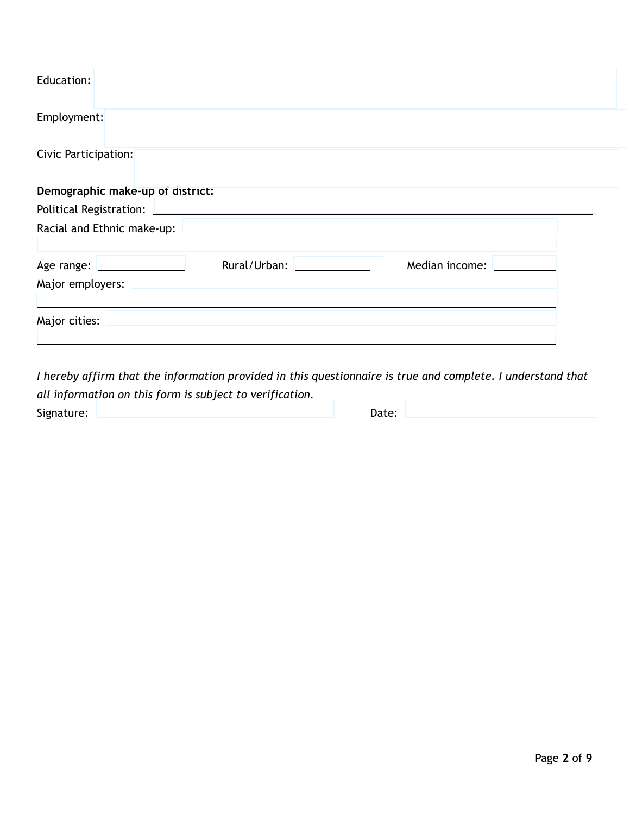| Education:                       |                                                                                                               |                |  |
|----------------------------------|---------------------------------------------------------------------------------------------------------------|----------------|--|
| Employment:                      |                                                                                                               |                |  |
| Civic Participation:             |                                                                                                               |                |  |
| Demographic make-up of district: |                                                                                                               |                |  |
|                                  | Racial and Ethnic make-up: 2008 2009 2010 2020 2020 2021 2021 2022 2021 2022 2021 2022 2023 2024 2022 2021 20 |                |  |
|                                  | Rural/Urban:                                                                                                  | Median income: |  |
|                                  |                                                                                                               |                |  |
|                                  |                                                                                                               |                |  |

*I hereby affirm that the information provided in this questionnaire is true and complete. I understand that all information on this form is subject to verification.*  Signature: <u>National Communication</u> (National Communication Communication Communication Communication Communication Communication Communication Communication (National Communication Communication Communication Communicatio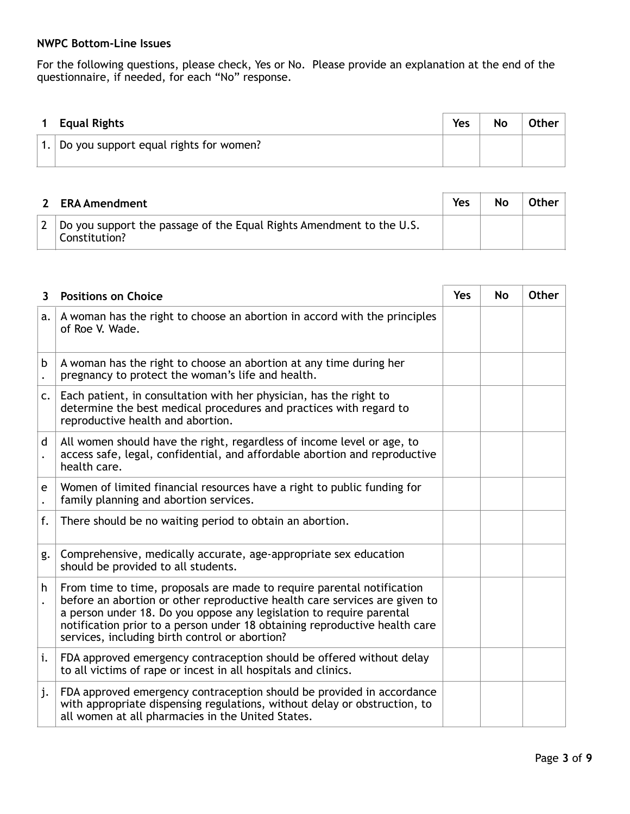### **NWPC Bottom-Line Issues**

For the following questions, please check, Yes or No. Please provide an explanation at the end of the questionnaire, if needed, for each "No" response.

| <b>Equal Rights</b>                    | Yes | No | Other $ $ |
|----------------------------------------|-----|----|-----------|
| Do you support equal rights for women? |     |    |           |

| <b>ERA Amendment</b>                                                                  | Yes | No | Other |
|---------------------------------------------------------------------------------------|-----|----|-------|
| Do you support the passage of the Equal Rights Amendment to the U.S.<br>Constitution? |     |    |       |

| 3  | <b>Positions on Choice</b>                                                                                                                                                                                                                                                                                                                                   | <b>Yes</b> | <b>No</b> | <b>Other</b> |
|----|--------------------------------------------------------------------------------------------------------------------------------------------------------------------------------------------------------------------------------------------------------------------------------------------------------------------------------------------------------------|------------|-----------|--------------|
| a. | A woman has the right to choose an abortion in accord with the principles<br>of Roe V. Wade.                                                                                                                                                                                                                                                                 |            |           |              |
| b  | A woman has the right to choose an abortion at any time during her<br>pregnancy to protect the woman's life and health.                                                                                                                                                                                                                                      |            |           |              |
| c. | Each patient, in consultation with her physician, has the right to<br>determine the best medical procedures and practices with regard to<br>reproductive health and abortion.                                                                                                                                                                                |            |           |              |
| d  | All women should have the right, regardless of income level or age, to<br>access safe, legal, confidential, and affordable abortion and reproductive<br>health care.                                                                                                                                                                                         |            |           |              |
| e  | Women of limited financial resources have a right to public funding for<br>family planning and abortion services.                                                                                                                                                                                                                                            |            |           |              |
| f. | There should be no waiting period to obtain an abortion.                                                                                                                                                                                                                                                                                                     |            |           |              |
| g. | Comprehensive, medically accurate, age-appropriate sex education<br>should be provided to all students.                                                                                                                                                                                                                                                      |            |           |              |
| h  | From time to time, proposals are made to require parental notification<br>before an abortion or other reproductive health care services are given to<br>a person under 18. Do you oppose any legislation to require parental<br>notification prior to a person under 18 obtaining reproductive health care<br>services, including birth control or abortion? |            |           |              |
| i. | FDA approved emergency contraception should be offered without delay<br>to all victims of rape or incest in all hospitals and clinics.                                                                                                                                                                                                                       |            |           |              |
| j. | FDA approved emergency contraception should be provided in accordance<br>with appropriate dispensing regulations, without delay or obstruction, to<br>all women at all pharmacies in the United States.                                                                                                                                                      |            |           |              |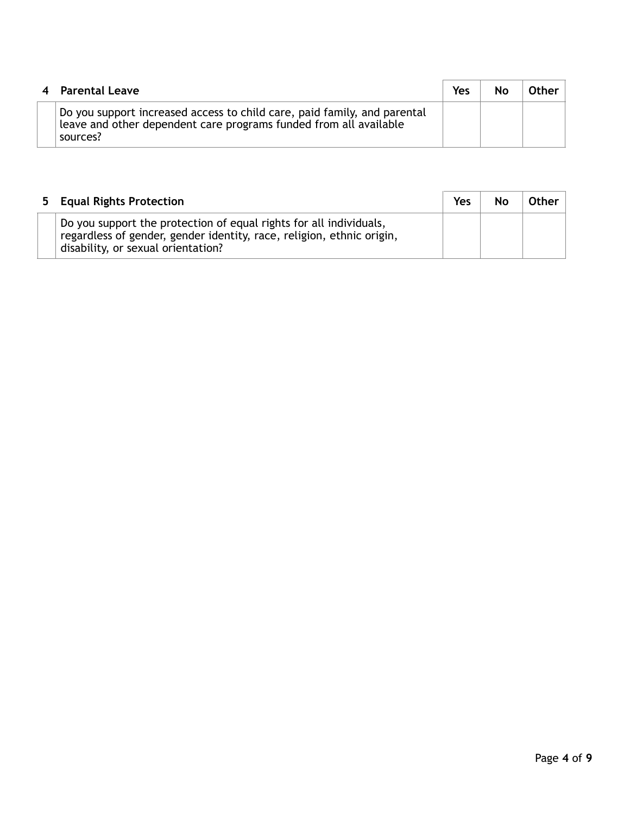| 4 Parental Leave                                                                                                                                          | Yes | Nο | Other |
|-----------------------------------------------------------------------------------------------------------------------------------------------------------|-----|----|-------|
| Do you support increased access to child care, paid family, and parental<br>leave and other dependent care programs funded from all available<br>sources? |     |    |       |

| 5 Equal Rights Protection                                                                                                                                                         | Yes | No | Other |
|-----------------------------------------------------------------------------------------------------------------------------------------------------------------------------------|-----|----|-------|
| Do you support the protection of equal rights for all individuals,<br>regardless of gender, gender identity, race, religion, ethnic origin,<br>disability, or sexual orientation? |     |    |       |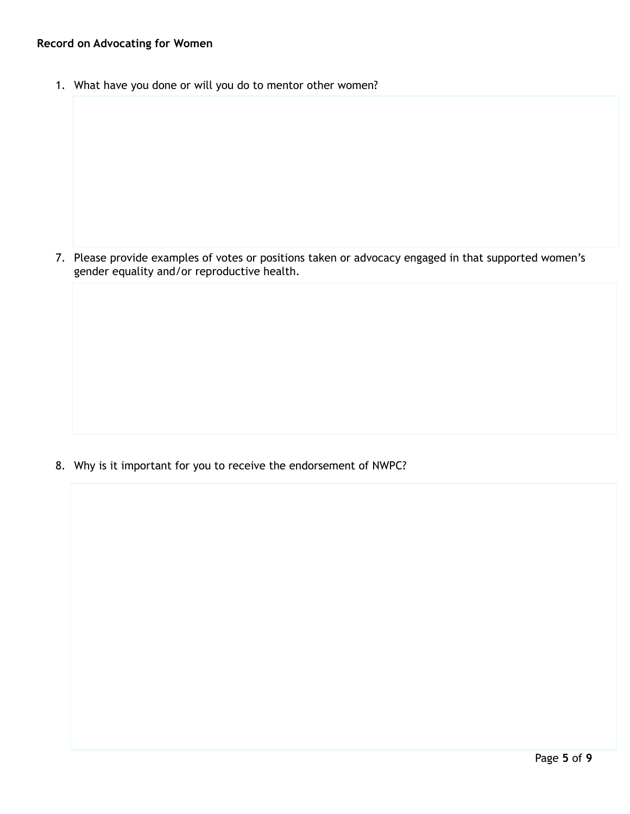## **Record on Advocating for Women**

1. What have you done or will you do to mentor other women?

7. Please provide examples of votes or positions taken or advocacy engaged in that supported women's gender equality and/or reproductive health.

8. Why is it important for you to receive the endorsement of NWPC?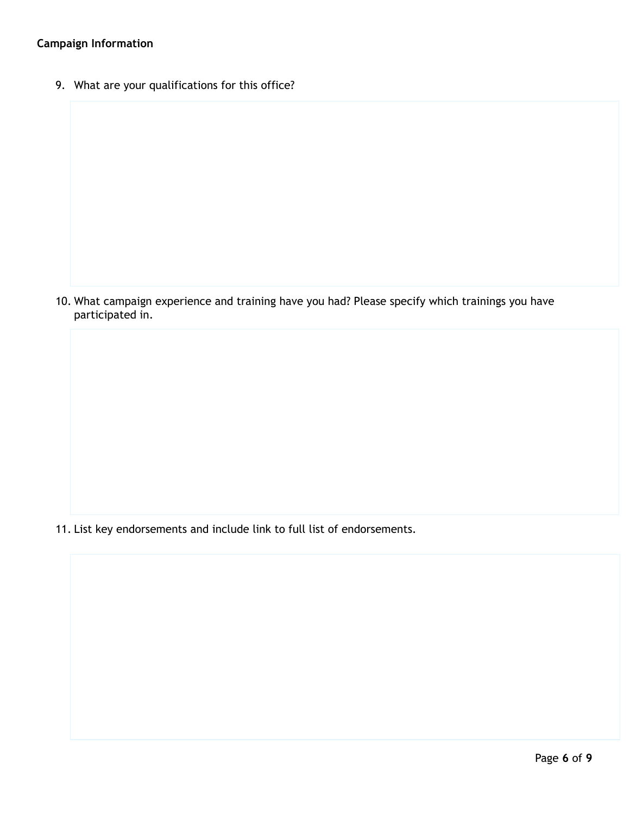# **Campaign Information**

9. What are your qualifications for this office?

10. What campaign experience and training have you had? Please specify which trainings you have participated in.

11. List key endorsements and include link to full list of endorsements.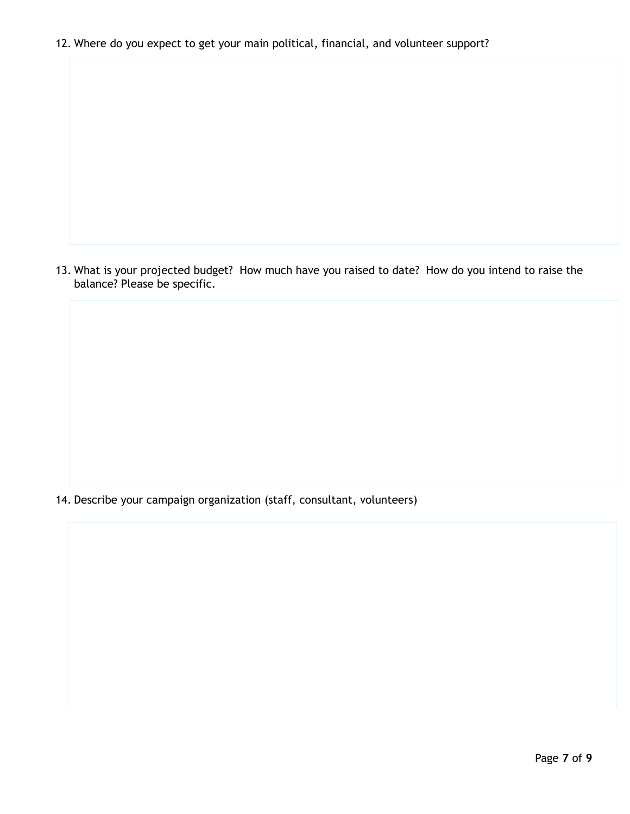12. Where do you expect to get your main political, financial, and volunteer support?

13. What is your projected budget? How much have you raised to date? How do you intend to raise the balance? Please be specific.

14. Describe your campaign organization (staff, consultant, volunteers)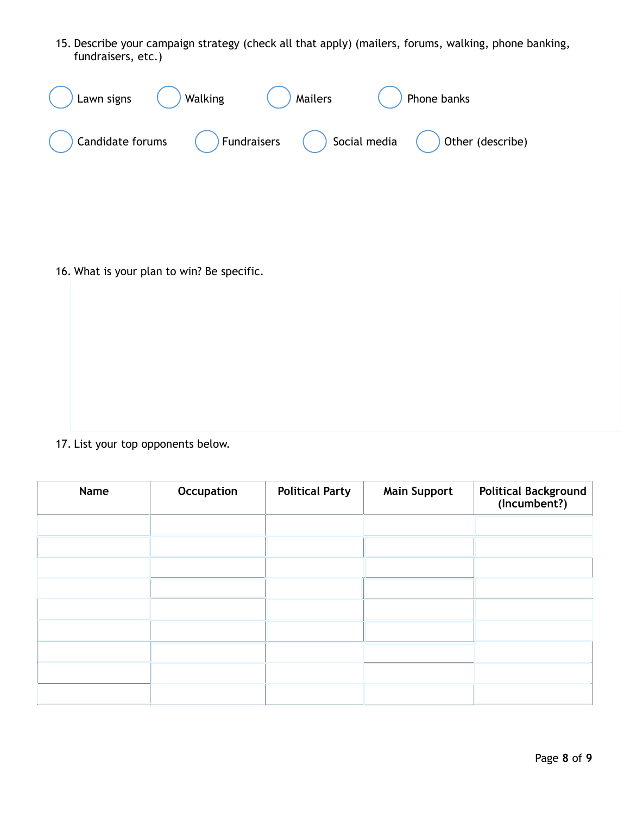15. Describe your campaign strategy (check all that apply) (mailers, forums, walking, phone banking, fundraisers, etc.)

| Lawn signs       | Walking | <b>Mailers</b> |              | Phone banks      |
|------------------|---------|----------------|--------------|------------------|
| Candidate forums |         | Fundraisers    | Social media | Other (describe) |

16. What is your plan to win? Be specific.

17. List your top opponents below.

| Name | Occupation | <b>Political Party</b> | <b>Main Support</b> | Political Background<br>(Incumbent?) |
|------|------------|------------------------|---------------------|--------------------------------------|
|      |            |                        |                     |                                      |
|      |            |                        |                     |                                      |
|      |            |                        |                     |                                      |
|      |            |                        |                     |                                      |
|      |            |                        |                     |                                      |
|      |            |                        |                     |                                      |
|      |            |                        |                     |                                      |
|      |            |                        |                     |                                      |
|      |            |                        |                     |                                      |